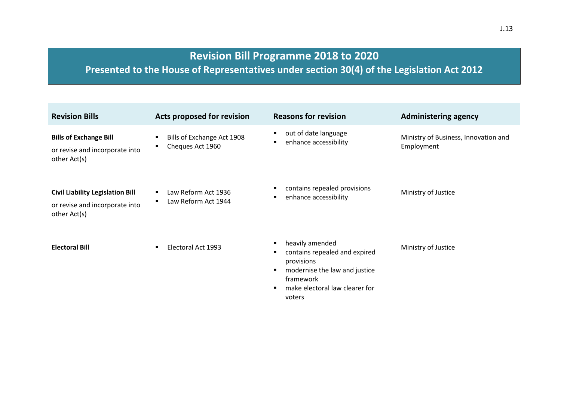## **Revision Bill Programme 2018 to 2020**

**Presented to the House of Representatives under section 30(4) of the Legislation Act 2012**

| <b>Revision Bills</b>                                                                     | <b>Acts proposed for revision</b>                                 | <b>Reasons for revision</b>                                                                                                                                   | <b>Administering agency</b>                        |
|-------------------------------------------------------------------------------------------|-------------------------------------------------------------------|---------------------------------------------------------------------------------------------------------------------------------------------------------------|----------------------------------------------------|
| <b>Bills of Exchange Bill</b><br>or revise and incorporate into<br>other Act(s)           | Bills of Exchange Act 1908<br>Cheques Act 1960                    | out of date language<br>enhance accessibility                                                                                                                 | Ministry of Business, Innovation and<br>Employment |
| <b>Civil Liability Legislation Bill</b><br>or revise and incorporate into<br>other Act(s) | Law Reform Act 1936<br>$\blacksquare$<br>Law Reform Act 1944<br>٠ | contains repealed provisions<br>enhance accessibility                                                                                                         | Ministry of Justice                                |
| <b>Electoral Bill</b>                                                                     | Electoral Act 1993                                                | heavily amended<br>contains repealed and expired<br>provisions<br>modernise the law and justice<br>٠<br>framework<br>make electoral law clearer for<br>voters | Ministry of Justice                                |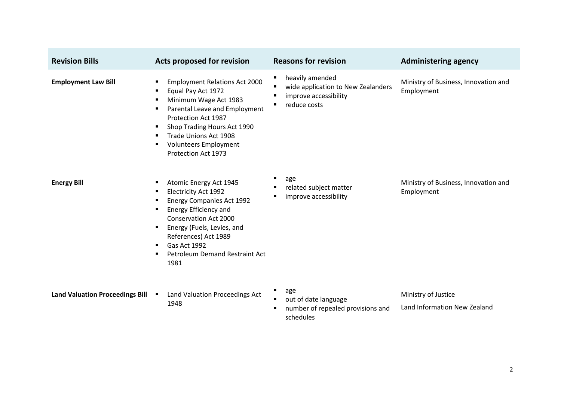| <b>Revision Bills</b>                  | <b>Acts proposed for revision</b>                                                                                                                                                                                                                                                                                            | <b>Reasons for revision</b>                                                                                                                  | <b>Administering agency</b>                         |
|----------------------------------------|------------------------------------------------------------------------------------------------------------------------------------------------------------------------------------------------------------------------------------------------------------------------------------------------------------------------------|----------------------------------------------------------------------------------------------------------------------------------------------|-----------------------------------------------------|
| <b>Employment Law Bill</b>             | <b>Employment Relations Act 2000</b><br>٠<br>Equal Pay Act 1972<br>Minimum Wage Act 1983<br>Parental Leave and Employment<br>٠<br>Protection Act 1987<br>Shop Trading Hours Act 1990<br>٠<br>Trade Unions Act 1908<br>٠<br><b>Volunteers Employment</b><br>Protection Act 1973                                               | heavily amended<br>$\blacksquare$<br>wide application to New Zealanders<br>п<br>improve accessibility<br>п<br>reduce costs<br>$\blacksquare$ | Ministry of Business, Innovation and<br>Employment  |
| <b>Energy Bill</b>                     | Atomic Energy Act 1945<br>٠<br><b>Electricity Act 1992</b><br>٠<br><b>Energy Companies Act 1992</b><br>Energy Efficiency and<br>٠<br><b>Conservation Act 2000</b><br>Energy (Fuels, Levies, and<br>$\blacksquare$<br>References) Act 1989<br>Gas Act 1992<br>$\blacksquare$<br><b>Petroleum Demand Restraint Act</b><br>1981 | п<br>age<br>related subject matter<br>improve accessibility<br>п                                                                             | Ministry of Business, Innovation and<br>Employment  |
| <b>Land Valuation Proceedings Bill</b> | Land Valuation Proceedings Act<br>1948                                                                                                                                                                                                                                                                                       | п<br>age<br>out of date language<br>number of repealed provisions and<br>п<br>schedules                                                      | Ministry of Justice<br>Land Information New Zealand |